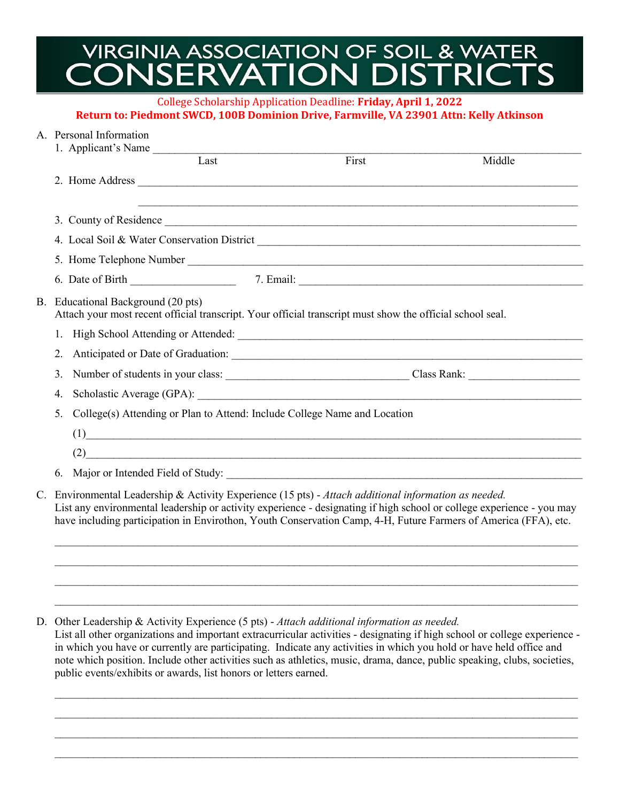## **VIRGINIA ASSOCIATION OF SOIL & WATER** CONSERVATION DISTRICTS

College Scholarship Application Deadline: **Friday, April 1, 2022 Return to: Piedmont SWCD, 100B Dominion Drive, Farmville, VA 23901 Attn: Kelly Atkinson**

## A. Personal Information

|                                                                                                                                                 | 1. Applicant's Name                                                       |                                                                                                                       |        |  |
|-------------------------------------------------------------------------------------------------------------------------------------------------|---------------------------------------------------------------------------|-----------------------------------------------------------------------------------------------------------------------|--------|--|
|                                                                                                                                                 | Last                                                                      | First                                                                                                                 | Middle |  |
|                                                                                                                                                 |                                                                           |                                                                                                                       |        |  |
|                                                                                                                                                 |                                                                           |                                                                                                                       |        |  |
|                                                                                                                                                 |                                                                           |                                                                                                                       |        |  |
|                                                                                                                                                 |                                                                           |                                                                                                                       |        |  |
|                                                                                                                                                 |                                                                           |                                                                                                                       |        |  |
|                                                                                                                                                 |                                                                           |                                                                                                                       |        |  |
| B. Educational Background (20 pts)<br>Attach your most recent official transcript. Your official transcript must show the official school seal. |                                                                           |                                                                                                                       |        |  |
|                                                                                                                                                 |                                                                           |                                                                                                                       |        |  |
|                                                                                                                                                 |                                                                           |                                                                                                                       |        |  |
| 3.                                                                                                                                              |                                                                           |                                                                                                                       |        |  |
| 4.                                                                                                                                              |                                                                           |                                                                                                                       |        |  |
| 5.                                                                                                                                              | College(s) Attending or Plan to Attend: Include College Name and Location |                                                                                                                       |        |  |
|                                                                                                                                                 | (1)                                                                       | <u> 1980 - Jan Barat, margaret amerikan bahasa di sebagai berasal dan berasal dalam berasal dalam berasal dalam b</u> |        |  |
|                                                                                                                                                 |                                                                           | (2)                                                                                                                   |        |  |
|                                                                                                                                                 |                                                                           |                                                                                                                       |        |  |

C. Environmental Leadership & Activity Experience (15 pts) - *Attach additional information as needed.* List any environmental leadership or activity experience - designating if high school or college experience - you may have including participation in Envirothon, Youth Conservation Camp, 4-H, Future Farmers of America (FFA), etc.

 $\mathcal{L}_\mathcal{L} = \{ \mathcal{L}_\mathcal{L} = \{ \mathcal{L}_\mathcal{L} = \{ \mathcal{L}_\mathcal{L} = \{ \mathcal{L}_\mathcal{L} = \{ \mathcal{L}_\mathcal{L} = \{ \mathcal{L}_\mathcal{L} = \{ \mathcal{L}_\mathcal{L} = \{ \mathcal{L}_\mathcal{L} = \{ \mathcal{L}_\mathcal{L} = \{ \mathcal{L}_\mathcal{L} = \{ \mathcal{L}_\mathcal{L} = \{ \mathcal{L}_\mathcal{L} = \{ \mathcal{L}_\mathcal{L} = \{ \mathcal{L}_\mathcal{$  $\mathcal{L}_\mathcal{L} = \{ \mathcal{L}_\mathcal{L} = \{ \mathcal{L}_\mathcal{L} = \{ \mathcal{L}_\mathcal{L} = \{ \mathcal{L}_\mathcal{L} = \{ \mathcal{L}_\mathcal{L} = \{ \mathcal{L}_\mathcal{L} = \{ \mathcal{L}_\mathcal{L} = \{ \mathcal{L}_\mathcal{L} = \{ \mathcal{L}_\mathcal{L} = \{ \mathcal{L}_\mathcal{L} = \{ \mathcal{L}_\mathcal{L} = \{ \mathcal{L}_\mathcal{L} = \{ \mathcal{L}_\mathcal{L} = \{ \mathcal{L}_\mathcal{$  $\mathcal{L}_\mathcal{L} = \{ \mathcal{L}_\mathcal{L} = \{ \mathcal{L}_\mathcal{L} = \{ \mathcal{L}_\mathcal{L} = \{ \mathcal{L}_\mathcal{L} = \{ \mathcal{L}_\mathcal{L} = \{ \mathcal{L}_\mathcal{L} = \{ \mathcal{L}_\mathcal{L} = \{ \mathcal{L}_\mathcal{L} = \{ \mathcal{L}_\mathcal{L} = \{ \mathcal{L}_\mathcal{L} = \{ \mathcal{L}_\mathcal{L} = \{ \mathcal{L}_\mathcal{L} = \{ \mathcal{L}_\mathcal{L} = \{ \mathcal{L}_\mathcal{$  $\mathcal{L}_\mathcal{L} = \{ \mathcal{L}_\mathcal{L} = \{ \mathcal{L}_\mathcal{L} = \{ \mathcal{L}_\mathcal{L} = \{ \mathcal{L}_\mathcal{L} = \{ \mathcal{L}_\mathcal{L} = \{ \mathcal{L}_\mathcal{L} = \{ \mathcal{L}_\mathcal{L} = \{ \mathcal{L}_\mathcal{L} = \{ \mathcal{L}_\mathcal{L} = \{ \mathcal{L}_\mathcal{L} = \{ \mathcal{L}_\mathcal{L} = \{ \mathcal{L}_\mathcal{L} = \{ \mathcal{L}_\mathcal{L} = \{ \mathcal{L}_\mathcal{$ 

D. Other Leadership & Activity Experience (5 pts) - *Attach additional information as needed.*

List all other organizations and important extracurricular activities - designating if high school or college experience in which you have or currently are participating. Indicate any activities in which you hold or have held office and note which position. Include other activities such as athletics, music, drama, dance, public speaking, clubs, societies, public events/exhibits or awards, list honors or letters earned.

 $\mathcal{L}_\mathcal{L} = \{ \mathcal{L}_\mathcal{L} = \{ \mathcal{L}_\mathcal{L} = \{ \mathcal{L}_\mathcal{L} = \{ \mathcal{L}_\mathcal{L} = \{ \mathcal{L}_\mathcal{L} = \{ \mathcal{L}_\mathcal{L} = \{ \mathcal{L}_\mathcal{L} = \{ \mathcal{L}_\mathcal{L} = \{ \mathcal{L}_\mathcal{L} = \{ \mathcal{L}_\mathcal{L} = \{ \mathcal{L}_\mathcal{L} = \{ \mathcal{L}_\mathcal{L} = \{ \mathcal{L}_\mathcal{L} = \{ \mathcal{L}_\mathcal{$  $\mathcal{L}_\mathcal{L} = \mathcal{L}_\mathcal{L} = \mathcal{L}_\mathcal{L} = \mathcal{L}_\mathcal{L} = \mathcal{L}_\mathcal{L} = \mathcal{L}_\mathcal{L} = \mathcal{L}_\mathcal{L} = \mathcal{L}_\mathcal{L} = \mathcal{L}_\mathcal{L} = \mathcal{L}_\mathcal{L} = \mathcal{L}_\mathcal{L} = \mathcal{L}_\mathcal{L} = \mathcal{L}_\mathcal{L} = \mathcal{L}_\mathcal{L} = \mathcal{L}_\mathcal{L} = \mathcal{L}_\mathcal{L} = \mathcal{L}_\mathcal{L}$  $\mathcal{L}_\mathcal{L} = \mathcal{L}_\mathcal{L} = \mathcal{L}_\mathcal{L} = \mathcal{L}_\mathcal{L} = \mathcal{L}_\mathcal{L} = \mathcal{L}_\mathcal{L} = \mathcal{L}_\mathcal{L} = \mathcal{L}_\mathcal{L} = \mathcal{L}_\mathcal{L} = \mathcal{L}_\mathcal{L} = \mathcal{L}_\mathcal{L} = \mathcal{L}_\mathcal{L} = \mathcal{L}_\mathcal{L} = \mathcal{L}_\mathcal{L} = \mathcal{L}_\mathcal{L} = \mathcal{L}_\mathcal{L} = \mathcal{L}_\mathcal{L}$  $\mathcal{L}_\mathcal{L} = \{ \mathcal{L}_\mathcal{L} = \{ \mathcal{L}_\mathcal{L} = \{ \mathcal{L}_\mathcal{L} = \{ \mathcal{L}_\mathcal{L} = \{ \mathcal{L}_\mathcal{L} = \{ \mathcal{L}_\mathcal{L} = \{ \mathcal{L}_\mathcal{L} = \{ \mathcal{L}_\mathcal{L} = \{ \mathcal{L}_\mathcal{L} = \{ \mathcal{L}_\mathcal{L} = \{ \mathcal{L}_\mathcal{L} = \{ \mathcal{L}_\mathcal{L} = \{ \mathcal{L}_\mathcal{L} = \{ \mathcal{L}_\mathcal{$